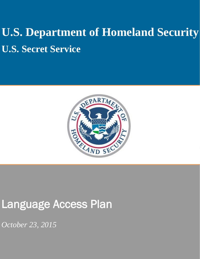# **U.S. Department of Homeland Security U.S. Secret Service**



## Language Access Plan

*October 23, 2015*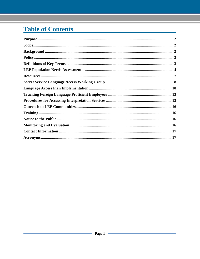### **Table of Contents**

| Purpose. 22 |
|-------------|
|             |
|             |
|             |
|             |
|             |
|             |
|             |
|             |
|             |
|             |
|             |
|             |
|             |
|             |
|             |
|             |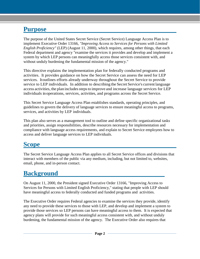### <span id="page-2-0"></span>**Purpose**

The purpose of the United States Secret Service (Secret Service) Language Access Plan is to implement Executive Order 13166, *"Improving Access to Services for Persons with Limited English Proficiency"* (LEP) (August 11, 2000), which requires, among other things, that each Federal department and agency "examine the services it provides and develop and implement a system by which LEP persons can meaningfully access those services consistent with, and without unduly burdening the fundamental mission of the agency."

This directive explains the implementation plan for federally conducted programs and activities. It provides guidance on how the Secret Service can assess the need for LEP services. Itoutlines efforts already underway throughout the Secret Service to provide service to LEP individuals. In addition to describing the Secret Service's current language access activities, the plan includes steps to improve and increase language services for LEP individuals in operations, services, activities, and programs across the Secret Service.

This Secret Service Language Access Plan establishes standards, operating principles, and guidelines to govern the delivery of language services to ensure meaningful access to programs, services, and activities by LEP individuals.

This plan also serves as a management tool to outline and define specific organizational tasks and priorities, assign responsibilities, describe resources necessary for implementation and compliance with language access requirements, and explain to Secret Service employees how to access and deliver language services to LEP individuals.

### <span id="page-2-1"></span>**Scope**

The Secret Service Language Access Plan applies to all Secret Service offices and divisions that interact with members of the public via any medium, including, but not limited to, websites, email, phone, and in-person contact.

### <span id="page-2-2"></span>**Background**

On August 11, 2000, the President signed Executive Order 13166, "Improving Access to Services for Persons with Limited English Proficiency," stating that people with LEP should have meaningful access to federally conducted and funded programs and activities.

The Executive Order requires Federal agencies to examine the services they provide, identify any need to provide these services to those with LEP, and develop and implement a system to provide those services so LEP persons can have meaningful access to them. It is expected that agency plans will provide for such meaningful access consistent with, and without unduly burdening, the fundamental mission of the agency. The Executive Order also requires that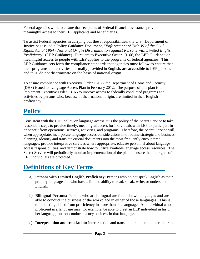Federal agencies work to ensure that recipients of Federal financial assistance provide meaningful access to their LEP applicants and beneficiaries.

To assist Federal agencies in carrying out these responsibilities, the U.S. Department of Justice has issued a Policy Guidance Document, *"Enforcement of Title VI of the Civil Rights Act of 1964* - *National Origin Discrimination against Persons with Limited English Proficiency"* (LEP Guidance). Pursuant to Executive Order 13166, the LEP Guidance on meaningful access to people with LEP applies to the programs of federal agencies. This LEP Guidance sets forth the compliance standards that agencies must follow to ensure that their programs and activities, normally provided in English, are accessible to LEP persons and thus, do not discriminate on the basis of national origin.

To ensure compliance with Executive Order 13166, the Department of Homeland Security (DHS) issued its Language Access Plan in February 2012. The purpose of this plan is to implement Executive Order 13166 to improve access to federally conducted programs and activities by persons who, because of their national origin, are limited in their English proficiency.

### <span id="page-3-0"></span>**Policy**

Consistent with the DHS policy on language access, it is the policy of the Secret Service to take reasonable steps to provide timely, meaningful access for individuals with LEP to participate in or benefit from operations, services, activities, and programs. Therefore, the Secret Service will, when appropriate, incorporate language access considerations into routine strategic and business planning, identify and translate crucial documents into the most frequently encountered languages, provide interpretive services where appropriate, educate personnel about language access responsibilities, and demonstrate how to utilize available language access resources. The Secret Service will periodically monitor implementation of the plan to ensure that the rights of LEP individuals are protected.

### <span id="page-3-1"></span>**Definitions of Key Terms**

- a) **Persons with Limited English Proficiency:** Persons who do not speak English as their primary language and who have a limited ability to read, speak, write, or understand English.
- b) **Bilingual Persons:** Persons who are bilingual are fluent in two languages and are able to conduct the business of the workplace in either of those languages. This is to be distinguished from proficiency in more than one language. An individual who is proficient in a language may, for example, be able to greet an LEP individual in his or her language, but not conduct agency business in that language.
- c) **Interpretation and translation:** Interpretation and translation require the interpreter to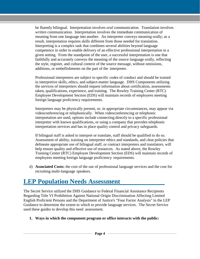be fluently bilingual. Interpretation involves *oral* communication. Translation involves *written* communication. Interpretation involves the immediate communication of meaning from one language into another. An interpreter conveys meaning orally; as a result, interpretation requires skills different from those needed for translation. Interpreting is a complex task that combines several abilities beyond language competence in order to enable delivery of an effective professional interpretation in a given setting. From the standpoint of the user, a successful interpretation is one that faithfully and accurately conveys the meaning of the source language orally, reflecting the style, register, and cultural context of the source message, without omissions, additions, or embellishments on the part of the interpreter.

Professional interpreters are subject to specific codes of conduct and should be trained in interpretive skills, ethics, and subject-matter language. DHS Components utilizing the services of interpreters should request information about certification, assessments taken, qualifications, experience, and training. The Rowley Training Center (RTC) Employee Development Section (EDS) will maintain records of employees meeting foreign language proficiency requirements.

Interpreters may be physically present, or, in appropriate circumstances, may appear via videoconferencing or telephonically. When videoconferencing or telephonic interpretation are used, options include connecting directly to a specific professional interpreter with known qualifications, or using a company that provides telephonic interpretation services and has in place quality control and privacy safeguards.

If bilingual staff is asked to interpret or translate, staff should be qualified to do so. Assessment of ability, training on interpreter ethics and standards, and clear policies that delineate appropriate use of bilingual staff, or contract interpreters and translators, will help ensure quality and effective use of resources. As stated above, the Rowley Training Center (RTC) Employee Development Section (EDS) will maintain records of employees meeting foreign language proficiency requirements.

d) **Associated Costs:** the cost of the use of professional language services and the cost for recruiting multi-language speakers.

### <span id="page-4-0"></span>**LEP Population Needs Assessment**

The Secret Service utilized the DHS Guidance to Federal Financial Assistance Recipients Regarding Title VI Prohibition Against National Origin Discrimination Affecting Limited English Proficient Persons and the Department of Justice's "Four Factor Analysis" in the LEP Guidance to determine the extent to which to provide language services. The Secret Service used these guides to develop this need assessment.

#### **1. Ways in which the component program or office interacts with the public:**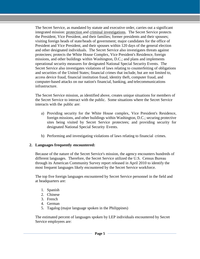The Secret Service, as mandated by statute and executive order, carries out a significant integrated mission: protection and criminal investigations. The Secret Service protects the President, Vice President, and their families; former presidents and their spouses; visiting foreign heads of state/heads of government; major candidates for the office of President and Vice President, and their spouses within 120 days of the general election and other designated individuals. The Secret Service also investigates threats against protectees; protects the White House Complex, Vice President's Residence, foreign missions, and other buildings within Washington, D.C.; and plans and implements operational security measures for designated National Special Security Events. The Secret Service also investigates violations of laws relating to counterfeiting of obligations and securities of the United States; financial crimes that include, but are not limited to, access device fraud, financial institution fraud, identity theft, computer fraud, and computer-based attacks on our nation's financial, banking, and telecommunications infrastructure.

The Secret Service mission, as identified above, creates unique situations for members of the Secret Service to interact with the public. Some situations where the Secret Service interacts with the public are:

- a) Providing security for the White House complex, Vice President's Residence, foreign missions, and other buildings within Washington, D.C.; securing protective sites being visited by Secret Service protectees; and providing security for designated National Special Security Events.
- b) Performing and investigating violations of laws relating to financial crimes.

#### **2. Languages frequently encountered:**

Because of the nature of the Secret Service's mission, the agency encounters hundreds of different languages. Therefore, the Secret Service utilized the U.S. Census Bureau through its American Community Survey report released in April 2010 to identify the most frequent languages likely encountered by the Secret Service workforce.

The top five foreign languages encountered by Secret Service personnel in the field and at headquarters are:

- 1. Spanish
- 2. Chinese
- 3. French
- 4. German
- 5. Tagalog (major language spoken in the Philippines)

The estimated percent of languages spoken by LEP individuals encountered by Secret Service employees are: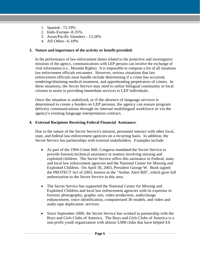- 1. Spanish 72.19%
- 2. Indo-Europe -8.35%
- 3. Asian/Pacific Islanders 13.28%
- 4. All Other-6.18%

#### **3. Nature and importance of the activity or benefit provided:**

In the performance of law enforcement duties related to the protective and investigative missions of the agency, communications with LEP persons can involve the exchange of vital information (i.e., Miranda Rights). It is impossible to compose a list of all situations law enforcement officials encounter. However, serious situations that law enforcement officials must handle include determining if a crime has occurred, rendering/obtaining medical treatment, and apprehending perpetrators of crimes. In these situations, the Secret Service may need to utilize bilingual community or local citizens to assist in providing immediate services to LEP individuals.

Once the situation is stabilized, or if the absence of language services is determined to create a burden on LEP persons, the agency can ensure program delivery communications through its internal multilingual workforce or via the agency's existing language interpretation contract.

#### **4. External Recipients Receiving Federal Financial Assistance:**

Due to the nature of the Secret Service's mission, personnel interact with other local, state, and federal law enforcement agencies on a recurring basis. In addition, the Secret Service has partnerships with external stakeholders. Examples include:

- As part of the 1994 Crime Bill, Congress mandated the Secret Service to provide forensic/technical assistance in matters involving missing and exploited children. The Secret Service offers this assistance to Federal, state, and local law enforcement agencies and the National Center for Missing and Exploited Children. On April 30, 2003, President George W. Bush signed the PROTECT Act of 2003, known as the "Amber Alert Bill", which gave full authorization to the Secret Service in this area.
- The Secret Service has supported the National Center for Missing and Exploited Children and local law enforcement agencies with its expertise in forensic photography, graphic arts, video production, audio/image enhancement, voice identification, computerized 30 models, and video and audio tape duplication services.
- Since September 2000, the Secret Service has worked in partnership with the Boys and Girls Clubs of America. The Boys and Girls Clubs of America is a non-profit youth organization with almost 3,900 clubs that have helped 4.6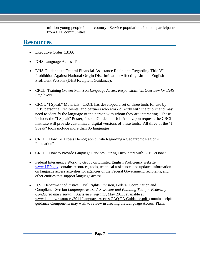million young people in our country. Service populations include participants from LEP communities.

### <span id="page-7-0"></span>**Resources**

- Executive Order 13166
- DHS Language Access Plan
- DHS Guidance to Federal Financial Assistance Recipients Regarding Title VI Prohibition Against National Origin Discrimination Affecting Limited English Proficient Persons (DHS Recipient Guidance).
- CRCL, Training (Power Point) on *Language Access Responsibilities, Overview for DHS Employees.*
- CRCL "I Speak" Materials. CRCL has developed a set of three tools for use by DHS personnel, recipients, and partners who work directly with the public and may need to identify the language of the person with whom they are interacting. These include: the "I Speak" Poster, Pocket Guide, and Job Aid. Upon request, the CRCL Institute will provide customized, digital versions of these tools. All three of the "I Speak" tools include more than 85 languages.
- CRCL: "How To Access Demographic Data Regarding a Geographic Region's Population"
- CRCL: "How to Provide Language Services During Encounters with LEP Persons"
- Federal Interagency Working Group on Limited English Proficiency website: [www.LEP.gov](http://www.lep.gov/) contains resources, tools, technical assistance, and updated information on language access activities for agencies of the Federal Government, recipients, and other entities that support language access.
- U.S. Department of Justice, Civil Rights Division, Federal Coordination and Compliance Section *Language Access Assessment and Planning Tool for Federally Conducted and Federally Assisted Programs,* May 2011, available at [www.lep.gov/resources/2011](http://www.lep.gov/resources/2011Language) Language Access CAQ TA Guidance.pdf, contains helpful guidance Components may wish to review in creating the Language Access Plans.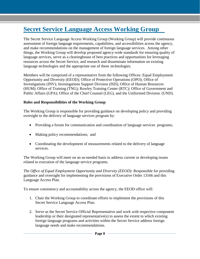### <span id="page-8-0"></span>**Secret Service Language Access Working Group**

The Secret Service Language Access Working Group (Working Group) will provide continuous assessment of foreign language requirements, capabilities, and accessibilities across the agency, and make recommendations on the management of foreign language services. Among other things, the Working Group will develop proposed agency-wide standards for ensuring quality of language services, serve as a clearinghouse of best practices and opportunities for leveraging resources across the Secret Service, and research and disseminate information on existing language technologies and the appropriate use of these technologies.

Members will be comprised of a representative from the following Offices: Equal Employment Opportunity and Diversity (EEOD); Office of Protective Operations (OPO); Office of Investigations (INV); Investigations Support Division (ISD); Office of Human Resources (HUM); Office of Training (TNG); Rowley Training Center (RTC); Office of Government and Public Affairs (GPA); Office of the Chief Counsel (LEG), and the Uniformed Division (UND).

#### **Roles and Responsibilities of the Working Group**

The Working Group is responsible for providing guidance on developing policy and providing oversight to the delivery of language services program by:

- Providing a forum for communication and coordination of language services programs;
- Making policy recommendations; and
- Coordinating the development of measurements related to the delivery of language services.

The Working Group will meet on an as-needed basis to address current or developing issues related to execution of the language service programs.

*The Office of Equal Employment Opportunity and Diversity (EEOD):* Responsible for providing guidance and oversight for implementing the provisions of Executive Order 13166 and this Language Access Plan.

To ensure consistency and accountability across the agency, the EEOD office will:

- 1. Chair the Working Group to coordinate efforts to implement the provisions of this Secret Service Language Access Plan.
- 2. Serve as the Secret Service Official Representative and work with respective component leadership or their designated representative(s) to assess the extent to which existing foreign language programs and activities within the Secret Service address foreign language needs and make recommendations.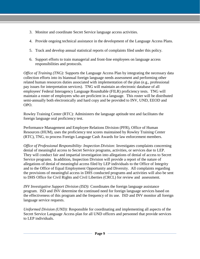- 3. Monitor and coordinate Secret Service language access activities.
- 4. Provide ongoing technical assistance in the development of the Language Access Plans.
- 5. Track and develop annual statistical reports of complaints filed under this policy.
- 6. Support efforts to train managerial and front-line employees on language access responsibilities and protocols.

*Office of Training (TNG):* Supports the Language Access Plan by integrating the necessary data collection efforts into its biannual foreign language needs assessment and performing other related human resources duties associated with implementation of the plan (e.g., professional pay issues for interpretation services). TNG will maintain an electronic database of all employees' Federal Interagency Language Roundtable (FILR) proficiency tests. TNG will maintain a roster of employees who are proficient in a language. This roster will be distributed semi-annually both electronically and hard copy and be provided to INV, UND, EEOD and OPO.

Rowley Training Center (RTC): Administers the language aptitude test and facilitates the foreign language oral proficiency test.

Performance Management and Employee Relations Division (PFR), Office of Human Resources (HUM), uses the proficiency test scores maintained by Rowley Training Center (RTC), TNG, to process Foreign Language Cash Awards for law enforcement members.

*Office of Professional Responsibility- Inspection Division:* Investigates complaints concerning denial of meaningful access to Secret Service programs, activities, or services due to LEP. They will conduct fair and impartial investigation into allegations of denial of access to Secret Service programs. In addition, Inspection Division will provide a report of the nature of allegations of denial of meaningful access filed by LEP individuals to the Office of Integrity and to the Office of Equal Employment Opportunity and Diversity. All complaints regarding the provisions of meaningful access in DHS conducted programs and activities will also be sent to DHS Office for Civil Rights and Civil Liberties (CRCL) for review and assessment.

*INV Investigative Support Division (ISD):* Coordinates the foreign language assistance program. ISD and INV determine the continued need for foreign language services based on the effectiveness of this program and the frequency of its use. ISD and INV monitor all foreign language service requests.

*Uniformed Division (UND):* Responsible for coordinating and implementing all aspects of the Secret Service Language Access plan for all UND officers and personnel that provide services to LEP individuals.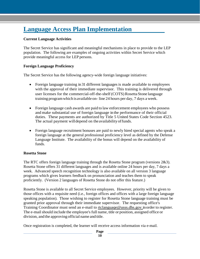### <span id="page-10-0"></span>**Language Access Plan Implementation**

#### **Current Language Activities**

The Secret Service has significant and meaningful mechanisms in place to provide to the LEP population. The following are examples of ongoing activities within Secret Service which provide meaningful access for LEP persons.

#### **Foreign Language Proficiency**

The Secret Service has the following agency-wide foreign language initiatives:

- Foreign language training in 31 different languages is made available to employees with the approval of their immediate supervisor. This training is delivered through user licenses for the commercial-off-the-shelf (COTS) Rosetta Stone language training programwhich isavailable on- line 24 hours per day, 7 days a week.
- Foreign language cash awards are paid to law enforcement employees who possess and make substantial use of foreign language in the performance of their official duties. These payments are authorized by Title 5 United States Code Section 4523. The actual payment willdepend on theavailabilityoffunds.
- Foreign language recruitment bonuses are paid to newly hired special agents who speak a foreign language at the general professional proficiency level as defined by the Defense Language Institute. The availability of the bonus will depend on the availability of funds.

#### **Rosetta Stone**

The RTC offers foreign language training through the Rosetta Stone program (versions 2&3). Rosetta Stone offers 31 different languages and is available online 24 hours per day, 7 days a week. Advanced speech recognition technology is also available on all version 3 language programs which gives learners feedback on pronunciation and teaches them to speak proficiently. (Version 2 languages of Rosetta Stone do not offer this feature.)

Rosetta Stone is available to all Secret Service employees. However, priority will be given to those offices with a requisite need (i.e., foreign offices and offices with a large foreign language speaking population). Those wishing to register for Rosetta Stone language training must be granted prior approval through their immediate supervisor. The requesting office's Training Coordinator must send an e-mail to [rtclanguaqe@usss.dhs.gov](mailto:rtclanguaqe@usss.dhs.gov) inorder to register. The e-mail should include the employee's full name, title or position, assigned office or division, and the approving official name and title.

Once registration is completed, the learner will receive access information via e-mail.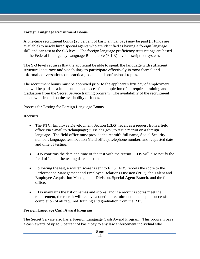#### **Foreign Language Recruitment Bonus**

A one-time recruitment bonus (25 percent of basic annual pay) may be paid (if funds are available) to newly hired special agents who are identified as having a foreign language skill and can test at the S-3 level. The foreign language proficiency tests ratings are based on the Federal Interagency Language Roundtable (FILR) level description system.

The S-3 level requires that the applicant be able to speak the language with sufficient structural accuracy and vocabulary to participate effectively in most formal and informal conversations on practical, social, and professional topics.

The recruitment bonus must be approved prior to the applicant's first day of employment and will be paid as a lump sum upon successful completion of all required training and graduation from the Secret Service training program. The availability of the recruitment bonus will depend on the availability of funds.

Process for Testing for Foreign Language Bonus

#### **Recruits**

- The RTC, Employee Development Section (EDS) receives a request from a field office via e-mail to [rtclanquage@usss.dhs.gov,](mailto:rtclanquage@usss.dhs.gov) to test a recruit on a foreign language. The field office must provide the recruit's full name, Social Security number, language, test location (field office), telephone number, and requested date and time of testing.
- EDS confirms the date and time of the test with the recruit. EDS will also notify the field office of the testing date and time.
- Following the test, a written score is sent to EDS. EDS reports the score to the Performance Management and Employee Relations Division (PFR), the Talent and Employee Acquisition Management Division, Special Agent Branch, and the field office.
- EDS maintains the list of names and scores, and if a recruit's scores meet the requirement, the recruit will receive a onetime recruitment bonus upon successful completion of all required training and graduation from the RTC.

#### **Foreign Language Cash Award Program**

The Secret Service also has a Foreign Language Cash Award Program. This program pays a cash award of up to 5 percent of basic pay to any law enforcement individual who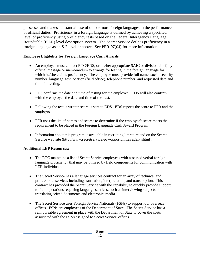possesses and makes substantial use of one or more foreign languages in the performance of official duties. Proficiency in a foreign language is defined by achieving a specified level of proficiency using proficiency tests based on the Federal Interagency Language Roundtable (FILR) level description system. The Secret Service defines proficiency in a foreign language as an S-2 level or above. See PER-07(04) for more information.

#### **Employee Eligibility for Foreign Language Cash Awards**

- An employee must contact RTC/EDS, or his/her appropriate SAIC or division chief, by official message or memorandum to arrange for testing in the foreign language for which he/she claims proficiency. The employee must provide full name, social security number, language, test location (field office), telephone number, and requested date and time for testing.
- EDS confirms the date and time of testing for the employee. EDS will also confirm with the employee the date and time of the test.
- Following the test, a written score is sent to EDS. EDS reports the score to PFR and the employee.
- PFR uses the list of names and scores to determine if the employee's score meets the requirement to be placed in the Foreign Language Cash Award Program.
- Information about this program is available in recruiting literature and on the Secret Service web site [\(http://www.secretservice.gov/opportunities](http://www.secretservice.gov/opportunitiesagent.shtml)) agent.shtml).

#### **Additional LEP Resources:**

- The RTC maintains a list of Secret Service employees with assessed verbal foreign language proficiency that may be utilized by field components for communication with LEP individuals.
- The Secret Service has a language services contract for an array of technical and professional services including translation, interpretation, and transcription. This contract has provided the Secret Service with the capability to quickly provide support to field operations requiring language services, such as interviewing subjects or translating seized documents and electronic media.
- The Secret Service uses Foreign Service Nationals (FSNs) to support our overseas offices. FSNs are employees of the Department of State. The Secret Service has a reimbursable agreement in place with the Department of State to cover the costs associated with the FSNs assigned to Secret Service offices.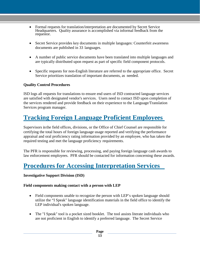- Formal requests for translation/interpretation are documented by Secret Service Headquarters. Quality assurance is accomplished via informal feedback from the requestor.
- Secret Service provides key documents in multiple languages: Counterfeit awareness documents are published in 33 languages.
- A number of public service documents have been translated into multiple languages and are typically distributed upon request as part of specific field component protocols.
- Specific requests for non-English literature are referred to the appropriate office. Secret Service prioritizes translation of important documents, as needed.

#### **Quality Control Procedures**

ISD logs all requests for translations to ensure end users of ISD contracted language services are satisfied with designated vendor's services. Users need to contact ISD upon completion of the services rendered and provide feedback on their experience to the Language/Translation Services program manager.

### <span id="page-13-0"></span>**Tracking Foreign Language Proficient Employees**

Supervisors in the field offices, divisions, or the Office of Chief Counsel are responsible for certifying the total hours of foreign language usage reported and verifying the performance appraisal and oral proficiency rating information provided by an employee, who has taken the required testing and met the language proficiency requirements.

The PFR is responsible for reviewing, processing, and paying foreign language cash awards to law enforcement employees. PFR should be contacted for information concerning these awards.

### <span id="page-13-1"></span>**Procedures for Accessing Interpretation Services**

#### **Investigative Support Division (ISD)**

#### **Field components making contact with a person with LEP**

- Field components unable to recognize the person with LEP's spoken language should utilize the "I Speak" language identification materials in the field office to identify the LEP individual's spoken language.
- The "I Speak" tool is a pocket sized booklet. The tool assists literate individuals who are not proficient in English to identify a preferred language. The Secret Service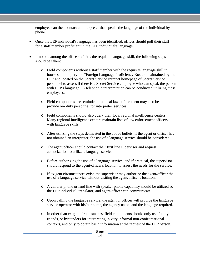employee can then contact an interpreter that speaks the language of the individual by phone.

- Once the LEP individual's language has been identified, offices should poll their staff for a staff member proficient in the LEP individual's language.
- If no one among the office staff has the requisite language skill, the following steps should be taken:
	- o Field components without a staff member with the requisite language skill in house should query the "Foreign Language Proficiency Roster" maintained by the PFR and located on the Secret Service Intranet homepage of Secret Service personnel to assess if there is a Secret Service employee who can speak the person with LEP's language. A telephonic interpretation can be conducted utilizing these employees.
	- o Field components are reminded that local law enforcement may also be able to provide on- duty personnel for interpreter services.
	- o Field components should also query their local regional intelligence centers. Many regional intelligence centers maintain lists of law enforcement officers with language skills.
	- o After utilizing the steps delineated in the above bullets, if the agent or officer has not obtained an interpreter, the use of a language service should be considered.
	- o The agent/officer should contact their first line supervisor and request authorization to utilize a language service.
	- o Before authorizing the use of a language service, and if practical, the supervisor should respond to the agent/officer's location to assess the needs for the service.
	- o If exigent circumstances exist, the supervisor may authorize the agent/officer the use of a language service without visiting the agent/officer's location.
	- o A cellular phone or land line with speaker phone capability should be utilized so the LEP individual, translator, and agent/officer can communicate.
	- o Upon calling the language service, the agent or officer will provide the language service operator with his/her name, the agency name, and the language required.
	- o In other than exigent circumstances, field components should only use family, friends, or bystanders for interpreting in very informal non-confrontational contexts, and only to obtain basic information at the request of the LEP person.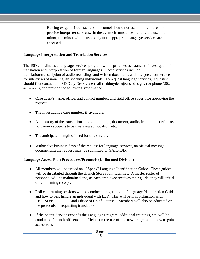Barring exigent circumstances, personnel should not use minor children to provide interpreter services. In the event circumstances require the use of a minor, the minor will be used only until appropriate language services are accessed.

#### **Language Interpretation and Translation Services**

The ISD coordinates a language services program which provides assistance to investigators for translation and interpretation of foreign languages. These services include translation/transcription of audio recordings and written documents and interpretation services for interviews of non-English speaking individuals. To request language services, requesters should first contact the ISD Duty Desk via e-mail (isddutydesk@usss.dhs.gov) or phone (202- 406-5773), and provide the following information:

- Case agent's name, office, and contact number, and field office supervisor approving the request.
- The investigative case number, if available.
- A summary of the translation needs language, document, audio, immediate or future, how many subjects to be interviewed, location, etc.
- The anticipated length of need for this service.
- Within five business days of the request for language services, an official message documenting the request must be submitted to SAIC-ISD.

#### **Language Access Plan Procedures/Protocols (Uniformed Division)**

- All members will be issued an "I Speak" Language Identification Guide. These guides will be distributed through the Branch Store room facilities. A master roster of personnel will be maintained and, as each employee receives their guide, they will initial off confirming receipt.
- Roll call training sessions will be conducted regarding the Language Identification Guide and how to best handle an individual with LEP. This will be in coordination with RES/ISD/EEOD/OPO and Office of Chief Counsel. Members will also be educated on the protocols of requesting translators.
- If the Secret Service expands the Language Program, additional trainings, etc. will be conducted for both officers and officials on the use of this new program and how to gain access to it.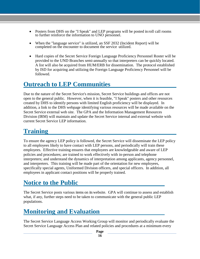- Posters from DHS on the "I Speak" and LEP programs will be posted in roll call rooms to further reinforce the information to UNO personnel.
- When the "language service" is utilized, an SSF 2032 (Incident Report) will be completed on the encounter to document the service utilized.
- Hard copies of the Secret Service Foreign Language Proficiency Personnel Roster will be provided to the UND Branches semi-annually so that interpreters can be quickly located. A list will also be acquired from HUM/ERB for dissemination. The protocol established by ISD for acquiring and utilizing the Foreign Language Proficiency Personnel will be followed.

### <span id="page-16-0"></span>**Outreach to LEP Communities**

Due to the nature of the Secret Service's mission, Secret Service buildings and offices are not open to the general public. However, when it is feasible, "I Speak" posters and other resources created by DHS to identify persons with limited English proficiency will be displayed. In addition, a link to the DHS webpage identifying various resources will be made available on the Secret Service external web site. The GPA and the Information Management Resources Division (IRM) will maintain and update the Secret Service internal and external website with current Secret Service LEP information.

### <span id="page-16-1"></span>**Training**

To ensure the agency LEP policy is followed, the Secret Service will disseminate the LEP policy to all employees likely to have contact with LEP persons, and periodically will train these employees. Effective training ensures that employees are knowledgeable and aware of LEP policies and procedures; are trained to work effectively with in-person and telephone interpreters; and understand the dynamics of interpretation among applicants, agency personnel, and interpreters. This training will be made part of the orientation for new employees, specifically special agents, Uniformed Division officers, and special officers. In addition, all employees in applicant contact positions will be properly trained.

### <span id="page-16-2"></span>**Notice to the Public**

The Secret Service posts various items on its website. GPA will continue to assess and establish what, if any, further steps need to be taken to communicate with the general public LEP populations.

### <span id="page-16-3"></span>**Monitoring and Evaluation**

The Secret Service Language Access Working Group will monitor and periodically evaluate the Secret Service Language Access Plan and related policies and procedures at a minimum every